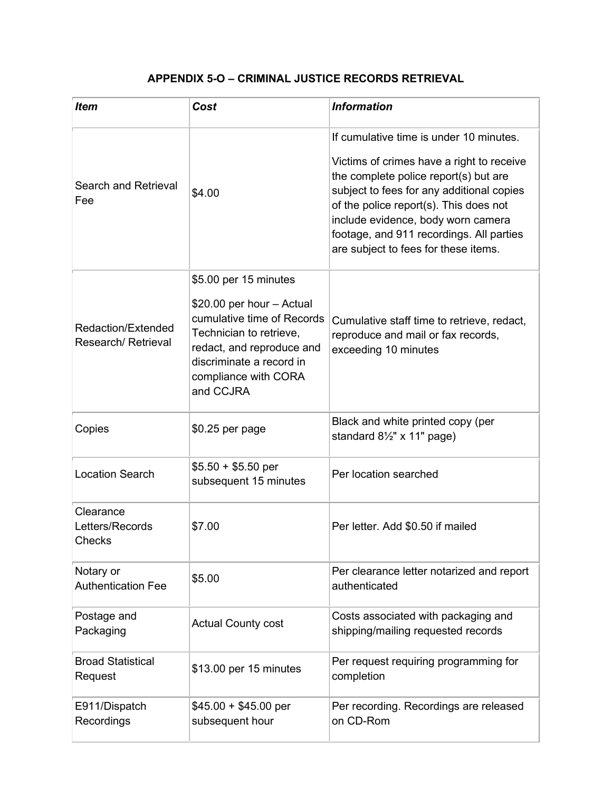## **APPENDIX 5-O – CRIMINAL JUSTICE RECORDS RETRIEVAL**

| <b>Item</b>                              | Cost                                                                                                                                                                                                      | <b>Information</b>                                                                                                                                                                                                                                                                                                                             |
|------------------------------------------|-----------------------------------------------------------------------------------------------------------------------------------------------------------------------------------------------------------|------------------------------------------------------------------------------------------------------------------------------------------------------------------------------------------------------------------------------------------------------------------------------------------------------------------------------------------------|
| Search and Retrieval<br>Fee              | \$4.00                                                                                                                                                                                                    | If cumulative time is under 10 minutes.<br>Victims of crimes have a right to receive<br>the complete police report(s) but are<br>subject to fees for any additional copies<br>of the police report(s). This does not<br>include evidence, body worn camera<br>footage, and 911 recordings. All parties<br>are subject to fees for these items. |
| Redaction/Extended<br>Research/Retrieval | \$5.00 per 15 minutes<br>\$20.00 per hour - Actual<br>cumulative time of Records<br>Technician to retrieve,<br>redact, and reproduce and<br>discriminate a record in<br>compliance with CORA<br>and CCJRA | Cumulative staff time to retrieve, redact,<br>reproduce and mail or fax records,<br>exceeding 10 minutes                                                                                                                                                                                                                                       |
| Copies                                   | \$0.25 per page                                                                                                                                                                                           | Black and white printed copy (per<br>standard $8\frac{1}{2}$ " x 11" page)                                                                                                                                                                                                                                                                     |
| <b>Location Search</b>                   | $$5.50 + $5.50$ per<br>subsequent 15 minutes                                                                                                                                                              | Per location searched                                                                                                                                                                                                                                                                                                                          |
| Clearance<br>Letters/Records<br>Checks   | \$7.00                                                                                                                                                                                                    | Per letter. Add \$0.50 if mailed                                                                                                                                                                                                                                                                                                               |
| Notary or<br><b>Authentication Fee</b>   | \$5.00                                                                                                                                                                                                    | Per clearance letter notarized and report<br>authenticated                                                                                                                                                                                                                                                                                     |
| Postage and<br>Packaging                 | <b>Actual County cost</b>                                                                                                                                                                                 | Costs associated with packaging and<br>shipping/mailing requested records                                                                                                                                                                                                                                                                      |
| <b>Broad Statistical</b><br>Request      | \$13.00 per 15 minutes                                                                                                                                                                                    | Per request requiring programming for<br>completion                                                                                                                                                                                                                                                                                            |
| E911/Dispatch<br>Recordings              | $$45.00 + $45.00$ per<br>subsequent hour                                                                                                                                                                  | Per recording. Recordings are released<br>on CD-Rom                                                                                                                                                                                                                                                                                            |